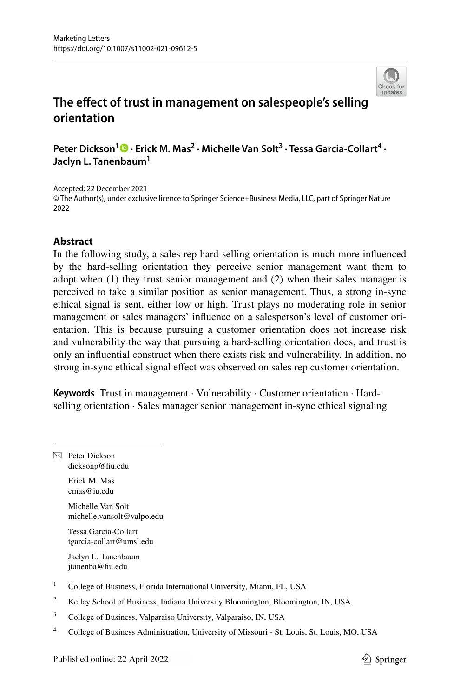

# **The efect of trust in management on salespeople's selling orientation**

**Peter Dickson<sup>1</sup>**  $\bullet$  **[·](http://orcid.org/0000-0003-1746-5923) Erick M. Mas<sup>2</sup> · Michelle Van Solt<sup>3</sup> · Tessa Garcia-Collart<sup>4</sup> · Jaclyn L. Tanenbaum1**

Accepted: 22 December 2021 © The Author(s), under exclusive licence to Springer Science+Business Media, LLC, part of Springer Nature 2022

### **Abstract**

In the following study, a sales rep hard-selling orientation is much more infuenced by the hard-selling orientation they perceive senior management want them to adopt when (1) they trust senior management and (2) when their sales manager is perceived to take a similar position as senior management. Thus, a strong in-sync ethical signal is sent, either low or high. Trust plays no moderating role in senior management or sales managers' infuence on a salesperson's level of customer orientation. This is because pursuing a customer orientation does not increase risk and vulnerability the way that pursuing a hard-selling orientation does, and trust is only an infuential construct when there exists risk and vulnerability. In addition, no strong in-sync ethical signal efect was observed on sales rep customer orientation.

**Keywords** Trust in management · Vulnerability · Customer orientation · Hardselling orientation · Sales manager senior management in-sync ethical signaling

 $\boxtimes$  Peter Dickson dicksonp@fu.edu Erick M. Mas emas@iu.edu Michelle Van Solt michelle.vansolt@valpo.edu Tessa Garcia-Collart tgarcia-collart@umsl.edu Jaclyn L. Tanenbaum jtanenba@fu.edu <sup>1</sup> College of Business, Florida International University, Miami, FL, USA <sup>2</sup> Kelley School of Business, Indiana University Bloomington, Bloomington, IN, USA <sup>3</sup> College of Business, Valparaiso University, Valparaiso, IN, USA <sup>4</sup> College of Business Administration, University of Missouri - St. Louis, St. Louis, MO, USAPublished online: 22 April 2022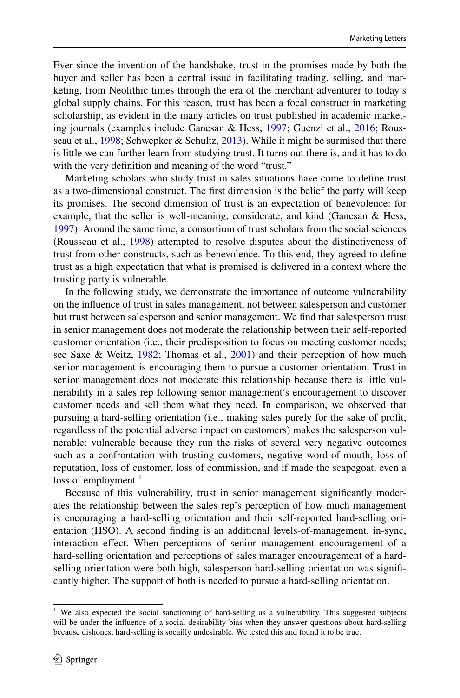Ever since the invention of the handshake, trust in the promises made by both the buyer and seller has been a central issue in facilitating trading, selling, and marketing, from Neolithic times through the era of the merchant adventurer to today's global supply chains. For this reason, trust has been a focal construct in marketing scholarship, as evident in the many articles on trust published in academic marketing journals (examples include Ganesan & Hess, [1997](#page-16-0); Guenzi et al., [2016;](#page-16-1) Rousseau et al., [1998](#page-16-2); Schwepker & Schultz, [2013\)](#page-16-3). While it might be surmised that there is little we can further learn from studying trust. It turns out there is, and it has to do with the very definition and meaning of the word "trust."

Marketing scholars who study trust in sales situations have come to defne trust as a two-dimensional construct. The frst dimension is the belief the party will keep its promises. The second dimension of trust is an expectation of benevolence: for example, that the seller is well-meaning, considerate, and kind (Ganesan & Hess, [1997](#page-16-0)). Around the same time, a consortium of trust scholars from the social sciences (Rousseau et al., [1998\)](#page-16-2) attempted to resolve disputes about the distinctiveness of trust from other constructs, such as benevolence. To this end, they agreed to defne trust as a high expectation that what is promised is delivered in a context where the trusting party is vulnerable.

In the following study, we demonstrate the importance of outcome vulnerability on the infuence of trust in sales management, not between salesperson and customer but trust between salesperson and senior management. We fnd that salesperson trust in senior management does not moderate the relationship between their self-reported customer orientation (i.e., their predisposition to focus on meeting customer needs; see Saxe & Weitz, [1982](#page-16-4); Thomas et al., [2001](#page-16-5)) and their perception of how much senior management is encouraging them to pursue a customer orientation. Trust in senior management does not moderate this relationship because there is little vulnerability in a sales rep following senior management's encouragement to discover customer needs and sell them what they need. In comparison, we observed that pursuing a hard-selling orientation (i.e., making sales purely for the sake of proft, regardless of the potential adverse impact on customers) makes the salesperson vulnerable: vulnerable because they run the risks of several very negative outcomes such as a confrontation with trusting customers, negative word-of-mouth, loss of reputation, loss of customer, loss of commission, and if made the scapegoat, even a loss of employment.<sup>1</sup>

Because of this vulnerability, trust in senior management signifcantly moderates the relationship between the sales rep's perception of how much management is encouraging a hard-selling orientation and their self-reported hard-selling orientation (HSO). A second fnding is an additional levels-of-management, in-sync, interaction efect. When perceptions of senior management encouragement of a hard-selling orientation and perceptions of sales manager encouragement of a hardselling orientation were both high, salesperson hard-selling orientation was signifcantly higher. The support of both is needed to pursue a hard-selling orientation.

<span id="page-1-0"></span><sup>&</sup>lt;sup>1</sup> We also expected the social sanctioning of hard-selling as a vulnerability. This suggested subjects will be under the infuence of a social desirability bias when they answer questions about hard-selling because dishonest hard-selling is socailly undesirable. We tested this and found it to be true.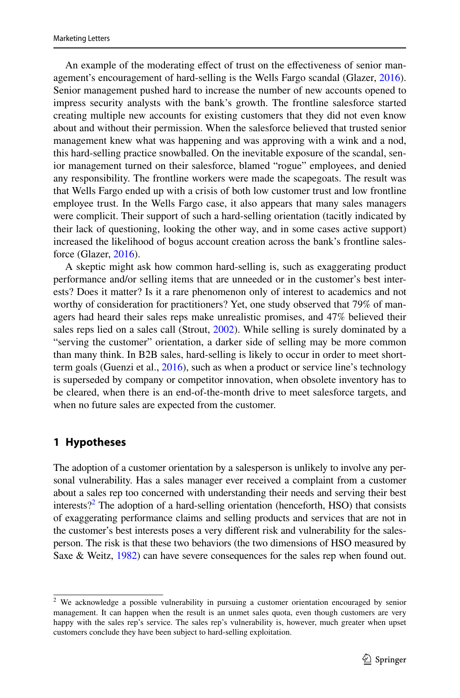An example of the moderating efect of trust on the efectiveness of senior management's encouragement of hard-selling is the Wells Fargo scandal (Glazer, [2016\)](#page-16-6). Senior management pushed hard to increase the number of new accounts opened to impress security analysts with the bank's growth. The frontline salesforce started creating multiple new accounts for existing customers that they did not even know about and without their permission. When the salesforce believed that trusted senior management knew what was happening and was approving with a wink and a nod, this hard-selling practice snowballed. On the inevitable exposure of the scandal, senior management turned on their salesforce, blamed "rogue" employees, and denied any responsibility. The frontline workers were made the scapegoats. The result was that Wells Fargo ended up with a crisis of both low customer trust and low frontline employee trust. In the Wells Fargo case, it also appears that many sales managers were complicit. Their support of such a hard-selling orientation (tacitly indicated by their lack of questioning, looking the other way, and in some cases active support) increased the likelihood of bogus account creation across the bank's frontline salesforce (Glazer, [2016](#page-16-6)).

A skeptic might ask how common hard-selling is, such as exaggerating product performance and/or selling items that are unneeded or in the customer's best interests? Does it matter? Is it a rare phenomenon only of interest to academics and not worthy of consideration for practitioners? Yet, one study observed that 79% of managers had heard their sales reps make unrealistic promises, and 47% believed their sales reps lied on a sales call (Strout, [2002\)](#page-16-7). While selling is surely dominated by a "serving the customer" orientation, a darker side of selling may be more common than many think. In B2B sales, hard-selling is likely to occur in order to meet shortterm goals (Guenzi et al., [2016\)](#page-16-1), such as when a product or service line's technology is superseded by company or competitor innovation, when obsolete inventory has to be cleared, when there is an end-of-the-month drive to meet salesforce targets, and when no future sales are expected from the customer.

### **1 Hypotheses**

The adoption of a customer orientation by a salesperson is unlikely to involve any personal vulnerability. Has a sales manager ever received a complaint from a customer about a sales rep too concerned with understanding their needs and serving their best interests?<sup>[2](#page-2-0)</sup> The adoption of a hard-selling orientation (henceforth, HSO) that consists of exaggerating performance claims and selling products and services that are not in the customer's best interests poses a very diferent risk and vulnerability for the salesperson. The risk is that these two behaviors (the two dimensions of HSO measured by Saxe & Weitz, [1982\)](#page-16-4) can have severe consequences for the sales rep when found out.

<span id="page-2-0"></span><sup>&</sup>lt;sup>2</sup> We acknowledge a possible vulnerability in pursuing a customer orientation encouraged by senior management. It can happen when the result is an unmet sales quota, even though customers are very happy with the sales rep's service. The sales rep's vulnerability is, however, much greater when upset customers conclude they have been subject to hard-selling exploitation.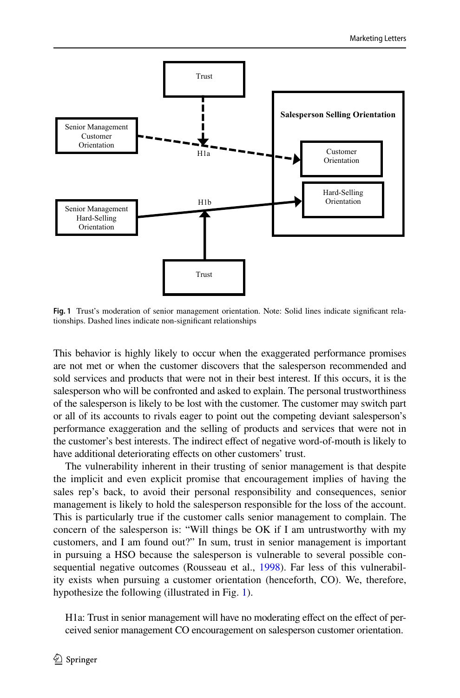

<span id="page-3-0"></span>**Fig. 1** Trust's moderation of senior management orientation. Note: Solid lines indicate signifcant relationships. Dashed lines indicate non-signifcant relationships

This behavior is highly likely to occur when the exaggerated performance promises are not met or when the customer discovers that the salesperson recommended and sold services and products that were not in their best interest. If this occurs, it is the salesperson who will be confronted and asked to explain. The personal trustworthiness of the salesperson is likely to be lost with the customer. The customer may switch part or all of its accounts to rivals eager to point out the competing deviant salesperson's performance exaggeration and the selling of products and services that were not in the customer's best interests. The indirect effect of negative word-of-mouth is likely to have additional deteriorating effects on other customers' trust.

The vulnerability inherent in their trusting of senior management is that despite the implicit and even explicit promise that encouragement implies of having the sales rep's back, to avoid their personal responsibility and consequences, senior management is likely to hold the salesperson responsible for the loss of the account. This is particularly true if the customer calls senior management to complain. The concern of the salesperson is: "Will things be OK if I am untrustworthy with my customers, and I am found out?" In sum, trust in senior management is important in pursuing a HSO because the salesperson is vulnerable to several possible consequential negative outcomes (Rousseau et al., [1998\)](#page-16-2). Far less of this vulnerability exists when pursuing a customer orientation (henceforth, CO). We, therefore, hypothesize the following (illustrated in Fig. [1](#page-3-0)).

H1a: Trust in senior management will have no moderating efect on the efect of perceived senior management CO encouragement on salesperson customer orientation.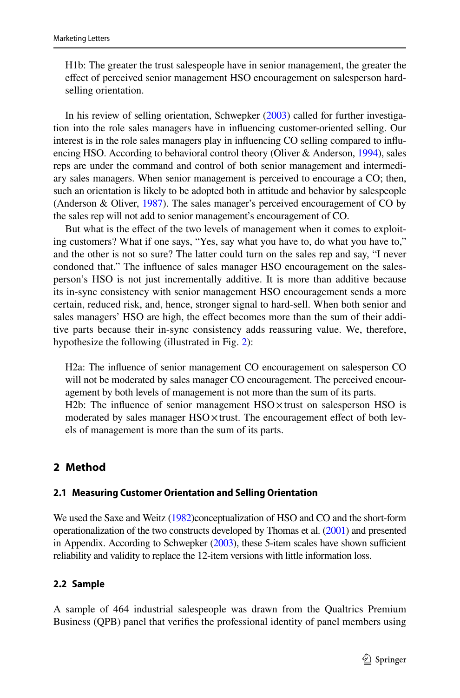H1b: The greater the trust salespeople have in senior management, the greater the efect of perceived senior management HSO encouragement on salesperson hardselling orientation.

In his review of selling orientation, Schwepker ([2003](#page-16-8)) called for further investigation into the role sales managers have in infuencing customer-oriented selling. Our interest is in the role sales managers play in infuencing CO selling compared to infuencing HSO. According to behavioral control theory (Oliver & Anderson, [1994](#page-16-9)), sales reps are under the command and control of both senior management and intermediary sales managers. When senior management is perceived to encourage a CO; then, such an orientation is likely to be adopted both in attitude and behavior by salespeople (Anderson & Oliver, [1987\)](#page-16-10). The sales manager's perceived encouragement of CO by the sales rep will not add to senior management's encouragement of CO.

But what is the efect of the two levels of management when it comes to exploiting customers? What if one says, "Yes, say what you have to, do what you have to," and the other is not so sure? The latter could turn on the sales rep and say, "I never condoned that." The infuence of sales manager HSO encouragement on the salesperson's HSO is not just incrementally additive. It is more than additive because its in-sync consistency with senior management HSO encouragement sends a more certain, reduced risk, and, hence, stronger signal to hard-sell. When both senior and sales managers' HSO are high, the effect becomes more than the sum of their additive parts because their in-sync consistency adds reassuring value. We, therefore, hypothesize the following (illustrated in Fig. [2](#page-5-0)):

H2a: The infuence of senior management CO encouragement on salesperson CO will not be moderated by sales manager CO encouragement. The perceived encouragement by both levels of management is not more than the sum of its parts. H2b: The infuence of senior management HSO×trust on salesperson HSO is moderated by sales manager HSO x trust. The encouragement effect of both levels of management is more than the sum of its parts.

### **2 Method**

#### **2.1 Measuring Customer Orientation and Selling Orientation**

We used the Saxe and Weitz ([1982\)](#page-16-4)conceptualization of HSO and CO and the short-form operationalization of the two constructs developed by Thomas et al. [\(2001](#page-16-5)) and presented in Appendix. According to Schwepker  $(2003)$ , these 5-item scales have shown sufficient reliability and validity to replace the 12-item versions with little information loss.

#### **2.2 Sample**

A sample of 464 industrial salespeople was drawn from the Qualtrics Premium Business (QPB) panel that verifes the professional identity of panel members using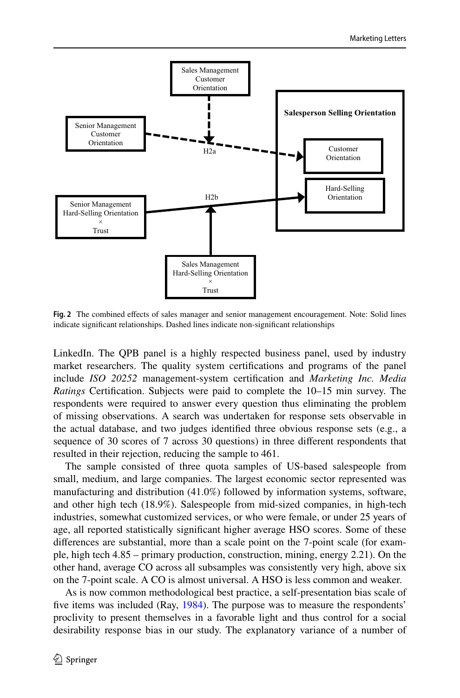

<span id="page-5-0"></span>**Fig. 2** The combined efects of sales manager and senior management encouragement. Note: Solid lines indicate signifcant relationships. Dashed lines indicate non-signifcant relationships

LinkedIn. The QPB panel is a highly respected business panel, used by industry market researchers. The quality system certifcations and programs of the panel include *ISO 20252* management-system certifcation and *Marketing Inc. Media Ratings* Certifcation. Subjects were paid to complete the 10–15 min survey. The respondents were required to answer every question thus eliminating the problem of missing observations. A search was undertaken for response sets observable in the actual database, and two judges identifed three obvious response sets (e.g., a sequence of 30 scores of 7 across 30 questions) in three diferent respondents that resulted in their rejection, reducing the sample to 461.

The sample consisted of three quota samples of US-based salespeople from small, medium, and large companies. The largest economic sector represented was manufacturing and distribution (41.0%) followed by information systems, software, and other high tech (18.9%). Salespeople from mid-sized companies, in high-tech industries, somewhat customized services, or who were female, or under 25 years of age, all reported statistically signifcant higher average HSO scores. Some of these diferences are substantial, more than a scale point on the 7-point scale (for example, high tech 4.85 – primary production, construction, mining, energy 2.21). On the other hand, average CO across all subsamples was consistently very high, above six on the 7-point scale. A CO is almost universal. A HSO is less common and weaker.

As is now common methodological best practice, a self-presentation bias scale of fve items was included (Ray, [1984\)](#page-16-11). The purpose was to measure the respondents' proclivity to present themselves in a favorable light and thus control for a social desirability response bias in our study. The explanatory variance of a number of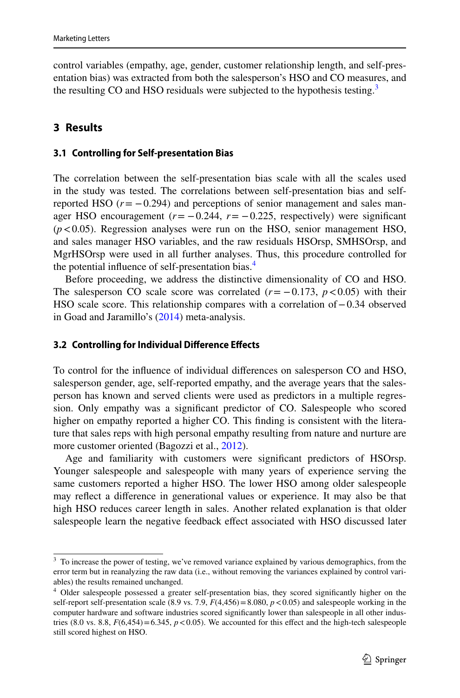control variables (empathy, age, gender, customer relationship length, and self-presentation bias) was extracted from both the salesperson's HSO and CO measures, and the resulting CO and HSO residuals were subjected to the hypothesis testing.<sup>3</sup>

### **3 Results**

#### **3.1 Controlling for Self‑presentation Bias**

The correlation between the self-presentation bias scale with all the scales used in the study was tested. The correlations between self-presentation bias and selfreported HSO  $(r = -0.294)$  and perceptions of senior management and sales manager HSO encouragement  $(r = -0.244, r = -0.225,$  respectively) were significant  $(p<0.05)$ . Regression analyses were run on the HSO, senior management HSO, and sales manager HSO variables, and the raw residuals HSOrsp, SMHSOrsp, and MgrHSOrsp were used in all further analyses. Thus, this procedure controlled for the potential influence of self-presentation bias.<sup>4</sup>

Before proceeding, we address the distinctive dimensionality of CO and HSO. The salesperson CO scale score was correlated  $(r = -0.173, p < 0.05)$  with their HSO scale score. This relationship compares with a correlation of−0.34 observed in Goad and Jaramillo's ([2014\)](#page-16-12) meta-analysis.

#### **3.2 Controlling for Individual Diference Efects**

To control for the infuence of individual diferences on salesperson CO and HSO, salesperson gender, age, self-reported empathy, and the average years that the salesperson has known and served clients were used as predictors in a multiple regression. Only empathy was a signifcant predictor of CO. Salespeople who scored higher on empathy reported a higher CO. This fnding is consistent with the literature that sales reps with high personal empathy resulting from nature and nurture are more customer oriented (Bagozzi et al., [2012\)](#page-16-13).

Age and familiarity with customers were signifcant predictors of HSOrsp. Younger salespeople and salespeople with many years of experience serving the same customers reported a higher HSO. The lower HSO among older salespeople may refect a diference in generational values or experience. It may also be that high HSO reduces career length in sales. Another related explanation is that older salespeople learn the negative feedback effect associated with HSO discussed later

<span id="page-6-0"></span><sup>&</sup>lt;sup>3</sup> To increase the power of testing, we've removed variance explained by various demographics, from the error term but in reanalyzing the raw data (i.e., without removing the variances explained by control variables) the results remained unchanged.

<span id="page-6-1"></span><sup>4</sup> Older salespeople possessed a greater self-presentation bias, they scored signifcantly higher on the self-report self-presentation scale (8.9 vs. 7.9,  $F(4,456) = 8.080$ ,  $p < 0.05$ ) and salespeople working in the computer hardware and software industries scored signifcantly lower than salespeople in all other industries (8.0 vs. 8.8,  $F(6,454) = 6.345$ ,  $p < 0.05$ ). We accounted for this effect and the high-tech salespeople still scored highest on HSO.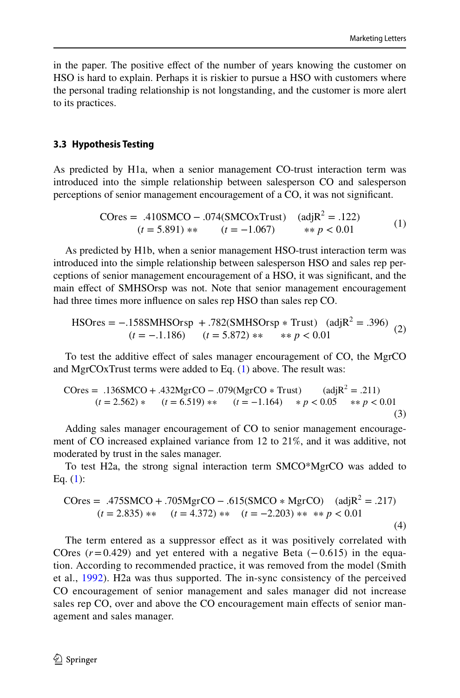in the paper. The positive efect of the number of years knowing the customer on HSO is hard to explain. Perhaps it is riskier to pursue a HSO with customers where the personal trading relationship is not longstanding, and the customer is more alert to its practices.

#### **3.3 Hypothesis Testing**

As predicted by H1a, when a senior management CO-trust interaction term was introduced into the simple relationship between salesperson CO and salesperson perceptions of senior management encouragement of a CO, it was not signifcant.

<span id="page-7-1"></span><span id="page-7-0"></span>
$$
COres = .410SMCO - .074(SMCOxTrust) \quad (adjR2 = .122)
$$
  
(*t* = 5.891) \*\* (*t* = -1.067) \*\* *p* < 0.01 (1)

As predicted by H1b, when a senior management HSO-trust interaction term was introduced into the simple relationship between salesperson HSO and sales rep perceptions of senior management encouragement of a HSO, it was signifcant, and the main efect of SMHSOrsp was not. Note that senior management encouragement had three times more infuence on sales rep HSO than sales rep CO.

$$
\text{HSOres} = -.158 \text{SMHSOrsp} + .782(\text{SMHSOrsp} * \text{Trust}) \quad (\text{adj} \text{R}^2 = .396) \tag{2}
$$
\n
$$
(t = -.1.186) \quad (t = 5.872) * * * * p < 0.01
$$

To test the additive effect of sales manager encouragement of CO, the MgrCO and MgrCOxTrust terms were added to Eq. [\(1](#page-7-0)) above. The result was:

$$
C0res = .136SMCO + .432MgrCO - .079(MgrCO * Trust) \t (adjR2 = .211)(t = 2.562) * \t (t = 6.519) * * \t (t = -1.164) * p < 0.05 * p < 0.01
$$
\n(3)

Adding sales manager encouragement of CO to senior management encouragement of CO increased explained variance from 12 to 21%, and it was additive, not moderated by trust in the sales manager.

To test H2a, the strong signal interaction term SMCO\*MgrCO was added to Eq. [\(1](#page-7-0)):

$$
COres = .475SMCO + .705MgrCO - .615(SMCO * MgrCO) \quad (adjR2 = .217)
$$
  
(*t* = 2.835) \*\* (*t* = 4.372) \*\* (*t* = -2.203) \*\* \*\* *p* < 0.01 (4)

The term entered as a suppressor efect as it was positively correlated with COres ( $r=0.429$ ) and yet entered with a negative Beta ( $-0.615$ ) in the equation. According to recommended practice, it was removed from the model (Smith et al., [1992\)](#page-16-14). H2a was thus supported. The in-sync consistency of the perceived CO encouragement of senior management and sales manager did not increase sales rep CO, over and above the CO encouragement main effects of senior management and sales manager.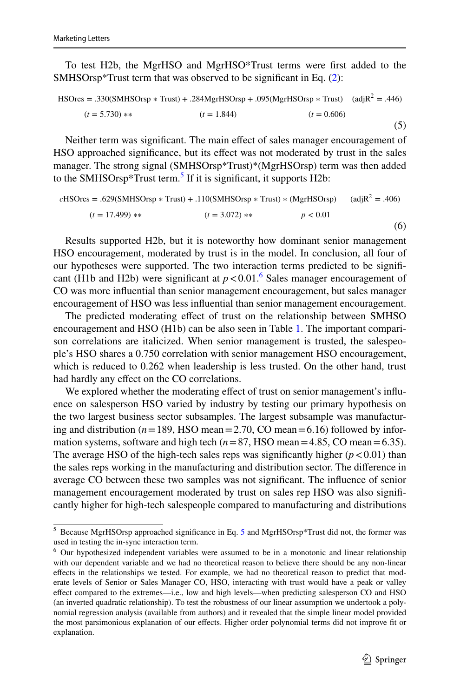To test H2b, the MgrHSO and MgrHSO\*Trust terms were frst added to the SMHSOrsp\*Trust term that was observed to be signifcant in Eq. [\(2](#page-7-1)):

<span id="page-8-2"></span>
$$
HSOres = .330(SMHSOrsp * Trust) + .284MgrHSOrsp + .095(MgrHSOrsp * Trust) \quad (adjR2 = .446)
$$
  
(*t* = 5.730) \*\* (*t* = 1.844) (*t* = 0.606) (5)

Neither term was signifcant. The main efect of sales manager encouragement of HSO approached signifcance, but its efect was not moderated by trust in the sales manager. The strong signal (SMHSOrsp\*Trust)\*(MgrHSOrsp) term was then added to the SMHSOrsp\*Trust term.<sup>[5](#page-8-0)</sup> If it is significant, it supports H2b:

$$
cHSOres = .629(SMHSOrsp * Trust) + .110(SMHSOrsp * Trust) * (MgrHSOrsp) \t (adjR2 = .406)
$$
  
(*t* = 17.499) \*\* \t(*t* = 3.072) \*\* \t *p* < 0.01 (6)

Results supported H2b, but it is noteworthy how dominant senior management HSO encouragement, moderated by trust is in the model. In conclusion, all four of our hypotheses were supported. The two interaction terms predicted to be signifcant (H1b and H2b) were significant at  $p < 0.01$ .<sup>[6](#page-8-1)</sup> Sales manager encouragement of CO was more infuential than senior management encouragement, but sales manager encouragement of HSO was less infuential than senior management encouragement.

The predicted moderating efect of trust on the relationship between SMHSO encouragement and HSO (H1b) can be also seen in Table [1](#page-9-0). The important comparison correlations are italicized. When senior management is trusted, the salespeople's HSO shares a 0.750 correlation with senior management HSO encouragement, which is reduced to 0.262 when leadership is less trusted. On the other hand, trust had hardly any effect on the CO correlations.

We explored whether the moderating effect of trust on senior management's influence on salesperson HSO varied by industry by testing our primary hypothesis on the two largest business sector subsamples. The largest subsample was manufacturing and distribution ( $n = 189$ , HSO mean = 2.70, CO mean = 6.16) followed by information systems, software and high tech  $(n=87,$  HSO mean=4.85, CO mean=6.35). The average HSO of the high-tech sales reps was significantly higher  $(p < 0.01)$  than the sales reps working in the manufacturing and distribution sector. The diference in average CO between these two samples was not signifcant. The infuence of senior management encouragement moderated by trust on sales rep HSO was also signifcantly higher for high-tech salespeople compared to manufacturing and distributions

<span id="page-8-0"></span><sup>5</sup> Because MgrHSOrsp approached signifcance in Eq. [5](#page-8-2) and MgrHSOrsp\*Trust did not, the former was used in testing the in-sync interaction term.

<span id="page-8-1"></span><sup>&</sup>lt;sup>6</sup> Our hypothesized independent variables were assumed to be in a monotonic and linear relationship with our dependent variable and we had no theoretical reason to believe there should be any non-linear efects in the relationships we tested. For example, we had no theoretical reason to predict that moderate levels of Senior or Sales Manager CO, HSO, interacting with trust would have a peak or valley efect compared to the extremes—i.e., low and high levels—when predicting salesperson CO and HSO (an inverted quadratic relationship). To test the robustness of our linear assumption we undertook a polynomial regression analysis (available from authors) and it revealed that the simple linear model provided the most parsimonious explanation of our efects. Higher order polynomial terms did not improve ft or explanation.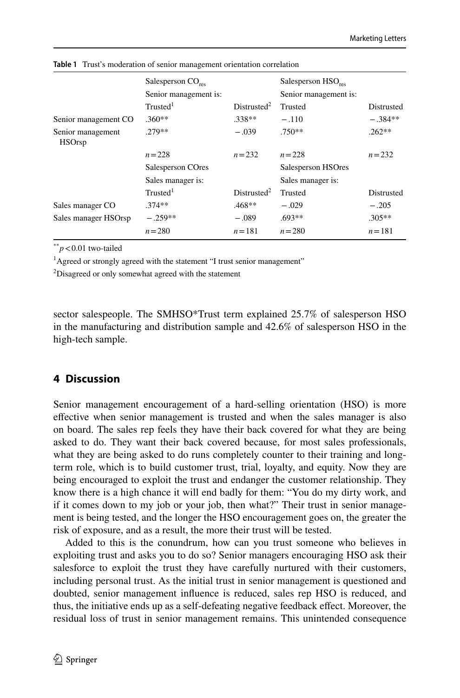|                                    | Salesperson $CO_{\text{rec}}$<br>Senior management is: |                          | Salesperson $HSO_{res}$<br>Senior management is: |            |
|------------------------------------|--------------------------------------------------------|--------------------------|--------------------------------------------------|------------|
|                                    | Trusted <sup>1</sup>                                   | Distributed <sup>2</sup> | Trusted                                          | Distrusted |
| Senior management CO               | $.360**$                                               | $.338**$                 | $-.110$                                          | $-.384**$  |
| Senior management<br><b>HSOrsp</b> | $279**$                                                | $-.039$                  | $.750**$                                         | $262**$    |
|                                    | $n = 228$                                              | $n = 232$                | $n = 228$                                        | $n = 232$  |
|                                    | Salesperson COres                                      |                          | Salesperson HSOres                               |            |
|                                    | Sales manager is:                                      |                          | Sales manager is:                                |            |
|                                    | Trusted <sup>1</sup>                                   | Distributed <sup>2</sup> | Trusted                                          | Distrusted |
| Sales manager CO                   | $.374**$                                               | $.468**$                 | $-.029$                                          | $-.205$    |
| Sales manager HSOrsp               | $-.259**$                                              | $-.089$                  | $.693**$                                         | $.305**$   |
|                                    | $n = 280$                                              | $n = 181$                | $n = 280$                                        | $n = 181$  |

<span id="page-9-0"></span>**Table 1** Trust's moderation of senior management orientation correlation

\*\**p*<0.01 two-tailed

<sup>1</sup>Agreed or strongly agreed with the statement "I trust senior management"

<sup>2</sup>Disagreed or only somewhat agreed with the statement

sector salespeople. The SMHSO\*Trust term explained 25.7% of salesperson HSO in the manufacturing and distribution sample and 42.6% of salesperson HSO in the high-tech sample.

## **4 Discussion**

Senior management encouragement of a hard-selling orientation (HSO) is more efective when senior management is trusted and when the sales manager is also on board. The sales rep feels they have their back covered for what they are being asked to do. They want their back covered because, for most sales professionals, what they are being asked to do runs completely counter to their training and longterm role, which is to build customer trust, trial, loyalty, and equity. Now they are being encouraged to exploit the trust and endanger the customer relationship. They know there is a high chance it will end badly for them: "You do my dirty work, and if it comes down to my job or your job, then what?" Their trust in senior management is being tested, and the longer the HSO encouragement goes on, the greater the risk of exposure, and as a result, the more their trust will be tested.

Added to this is the conundrum, how can you trust someone who believes in exploiting trust and asks you to do so? Senior managers encouraging HSO ask their salesforce to exploit the trust they have carefully nurtured with their customers, including personal trust. As the initial trust in senior management is questioned and doubted, senior management infuence is reduced, sales rep HSO is reduced, and thus, the initiative ends up as a self-defeating negative feedback efect. Moreover, the residual loss of trust in senior management remains. This unintended consequence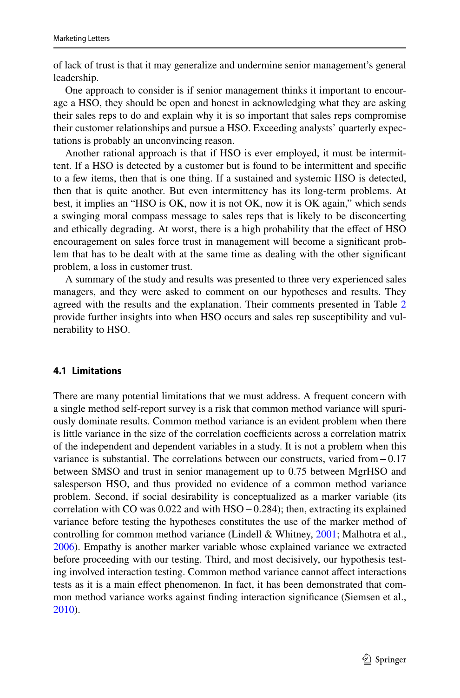of lack of trust is that it may generalize and undermine senior management's general leadership.

One approach to consider is if senior management thinks it important to encourage a HSO, they should be open and honest in acknowledging what they are asking their sales reps to do and explain why it is so important that sales reps compromise their customer relationships and pursue a HSO. Exceeding analysts' quarterly expectations is probably an unconvincing reason.

Another rational approach is that if HSO is ever employed, it must be intermittent. If a HSO is detected by a customer but is found to be intermittent and specifc to a few items, then that is one thing. If a sustained and systemic HSO is detected, then that is quite another. But even intermittency has its long-term problems. At best, it implies an "HSO is OK, now it is not OK, now it is OK again," which sends a swinging moral compass message to sales reps that is likely to be disconcerting and ethically degrading. At worst, there is a high probability that the efect of HSO encouragement on sales force trust in management will become a signifcant problem that has to be dealt with at the same time as dealing with the other signifcant problem, a loss in customer trust.

A summary of the study and results was presented to three very experienced sales managers, and they were asked to comment on our hypotheses and results. They agreed with the results and the explanation. Their comments presented in Table [2](#page-11-0) provide further insights into when HSO occurs and sales rep susceptibility and vulnerability to HSO.

#### **4.1 Limitations**

There are many potential limitations that we must address. A frequent concern with a single method self-report survey is a risk that common method variance will spuriously dominate results. Common method variance is an evident problem when there is little variance in the size of the correlation coefficients across a correlation matrix of the independent and dependent variables in a study. It is not a problem when this variance is substantial. The correlations between our constructs, varied from−0.17 between SMSO and trust in senior management up to 0.75 between MgrHSO and salesperson HSO, and thus provided no evidence of a common method variance problem. Second, if social desirability is conceptualized as a marker variable (its correlation with CO was 0.022 and with HSO−0.284); then, extracting its explained variance before testing the hypotheses constitutes the use of the marker method of controlling for common method variance (Lindell & Whitney, [2001;](#page-16-15) Malhotra et al., [2006](#page-16-16)). Empathy is another marker variable whose explained variance we extracted before proceeding with our testing. Third, and most decisively, our hypothesis testing involved interaction testing. Common method variance cannot afect interactions tests as it is a main efect phenomenon. In fact, it has been demonstrated that common method variance works against fnding interaction signifcance (Siemsen et al., [2010](#page-16-17)).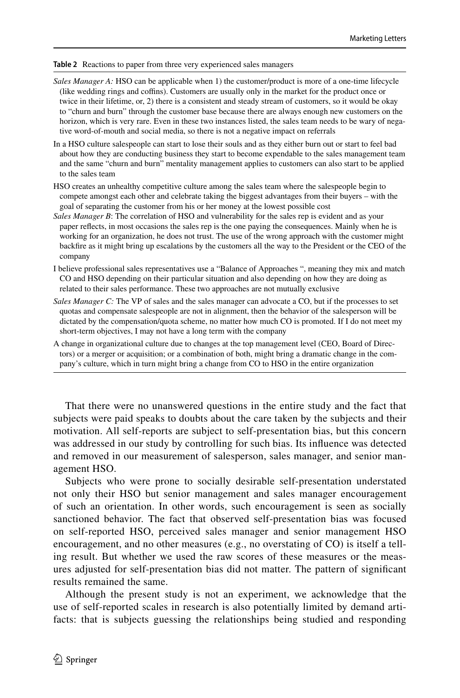#### <span id="page-11-0"></span>**Table 2** Reactions to paper from three very experienced sales managers

- *Sales Manager A:* HSO can be applicable when 1) the customer/product is more of a one-time lifecycle (like wedding rings and coffins). Customers are usually only in the market for the product once or twice in their lifetime, or, 2) there is a consistent and steady stream of customers, so it would be okay to "churn and burn" through the customer base because there are always enough new customers on the horizon, which is very rare. Even in these two instances listed, the sales team needs to be wary of negative word-of-mouth and social media, so there is not a negative impact on referrals
- In a HSO culture salespeople can start to lose their souls and as they either burn out or start to feel bad about how they are conducting business they start to become expendable to the sales management team and the same "churn and burn" mentality management applies to customers can also start to be applied to the sales team
- HSO creates an unhealthy competitive culture among the sales team where the salespeople begin to compete amongst each other and celebrate taking the biggest advantages from their buyers – with the goal of separating the customer from his or her money at the lowest possible cost
- *Sales Manager B*: The correlation of HSO and vulnerability for the sales rep is evident and as your paper refects, in most occasions the sales rep is the one paying the consequences. Mainly when he is working for an organization, he does not trust. The use of the wrong approach with the customer might backfre as it might bring up escalations by the customers all the way to the President or the CEO of the company
- I believe professional sales representatives use a "Balance of Approaches ", meaning they mix and match CO and HSO depending on their particular situation and also depending on how they are doing as related to their sales performance. These two approaches are not mutually exclusive
- *Sales Manager C:* The VP of sales and the sales manager can advocate a CO, but if the processes to set quotas and compensate salespeople are not in alignment, then the behavior of the salesperson will be dictated by the compensation/quota scheme, no matter how much CO is promoted. If I do not meet my short-term objectives, I may not have a long term with the company
- A change in organizational culture due to changes at the top management level (CEO, Board of Directors) or a merger or acquisition; or a combination of both, might bring a dramatic change in the company's culture, which in turn might bring a change from CO to HSO in the entire organization

That there were no unanswered questions in the entire study and the fact that subjects were paid speaks to doubts about the care taken by the subjects and their motivation. All self-reports are subject to self-presentation bias, but this concern was addressed in our study by controlling for such bias. Its infuence was detected and removed in our measurement of salesperson, sales manager, and senior management HSO.

Subjects who were prone to socially desirable self-presentation understated not only their HSO but senior management and sales manager encouragement of such an orientation. In other words, such encouragement is seen as socially sanctioned behavior. The fact that observed self-presentation bias was focused on self-reported HSO, perceived sales manager and senior management HSO encouragement, and no other measures (e.g., no overstating of CO) is itself a telling result. But whether we used the raw scores of these measures or the measures adjusted for self-presentation bias did not matter. The pattern of signifcant results remained the same.

Although the present study is not an experiment, we acknowledge that the use of self-reported scales in research is also potentially limited by demand artifacts: that is subjects guessing the relationships being studied and responding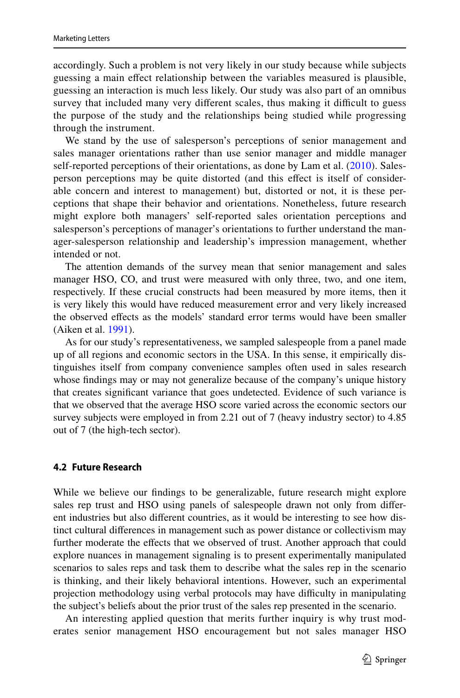accordingly. Such a problem is not very likely in our study because while subjects guessing a main efect relationship between the variables measured is plausible, guessing an interaction is much less likely. Our study was also part of an omnibus survey that included many very different scales, thus making it difficult to guess the purpose of the study and the relationships being studied while progressing through the instrument.

We stand by the use of salesperson's perceptions of senior management and sales manager orientations rather than use senior manager and middle manager self-reported perceptions of their orientations, as done by Lam et al. ([2010\)](#page-16-18). Salesperson perceptions may be quite distorted (and this efect is itself of considerable concern and interest to management) but, distorted or not, it is these perceptions that shape their behavior and orientations. Nonetheless, future research might explore both managers' self-reported sales orientation perceptions and salesperson's perceptions of manager's orientations to further understand the manager-salesperson relationship and leadership's impression management, whether intended or not.

The attention demands of the survey mean that senior management and sales manager HSO, CO, and trust were measured with only three, two, and one item, respectively. If these crucial constructs had been measured by more items, then it is very likely this would have reduced measurement error and very likely increased the observed efects as the models' standard error terms would have been smaller (Aiken et al. [1991](#page-16-19)).

As for our study's representativeness, we sampled salespeople from a panel made up of all regions and economic sectors in the USA. In this sense, it empirically distinguishes itself from company convenience samples often used in sales research whose fndings may or may not generalize because of the company's unique history that creates signifcant variance that goes undetected. Evidence of such variance is that we observed that the average HSO score varied across the economic sectors our survey subjects were employed in from 2.21 out of 7 (heavy industry sector) to 4.85 out of 7 (the high-tech sector).

#### **4.2 Future Research**

While we believe our fndings to be generalizable, future research might explore sales rep trust and HSO using panels of salespeople drawn not only from diferent industries but also diferent countries, as it would be interesting to see how distinct cultural diferences in management such as power distance or collectivism may further moderate the efects that we observed of trust. Another approach that could explore nuances in management signaling is to present experimentally manipulated scenarios to sales reps and task them to describe what the sales rep in the scenario is thinking, and their likely behavioral intentions. However, such an experimental projection methodology using verbal protocols may have difficulty in manipulating the subject's beliefs about the prior trust of the sales rep presented in the scenario.

An interesting applied question that merits further inquiry is why trust moderates senior management HSO encouragement but not sales manager HSO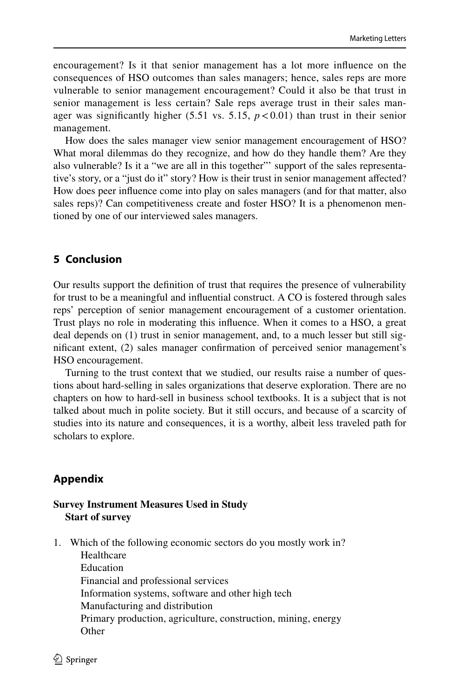encouragement? Is it that senior management has a lot more infuence on the consequences of HSO outcomes than sales managers; hence, sales reps are more vulnerable to senior management encouragement? Could it also be that trust in senior management is less certain? Sale reps average trust in their sales manager was significantly higher  $(5.51 \text{ vs. } 5.15, p < 0.01)$  than trust in their senior management.

How does the sales manager view senior management encouragement of HSO? What moral dilemmas do they recognize, and how do they handle them? Are they also vulnerable? Is it a "we are all in this together"' support of the sales representative's story, or a "just do it" story? How is their trust in senior management afected? How does peer infuence come into play on sales managers (and for that matter, also sales reps)? Can competitiveness create and foster HSO? It is a phenomenon mentioned by one of our interviewed sales managers.

### **5 Conclusion**

Our results support the defnition of trust that requires the presence of vulnerability for trust to be a meaningful and infuential construct. A CO is fostered through sales reps' perception of senior management encouragement of a customer orientation. Trust plays no role in moderating this infuence. When it comes to a HSO, a great deal depends on (1) trust in senior management, and, to a much lesser but still signifcant extent, (2) sales manager confrmation of perceived senior management's HSO encouragement.

Turning to the trust context that we studied, our results raise a number of questions about hard-selling in sales organizations that deserve exploration. There are no chapters on how to hard-sell in business school textbooks. It is a subject that is not talked about much in polite society. But it still occurs, and because of a scarcity of studies into its nature and consequences, it is a worthy, albeit less traveled path for scholars to explore.

### **Appendix**

#### **Survey Instrument Measures Used in Study Start of survey**

1. Which of the following economic sectors do you mostly work in?

 Healthcare Education Financial and professional services Information systems, software and other high tech Manufacturing and distribution Primary production, agriculture, construction, mining, energy **Other**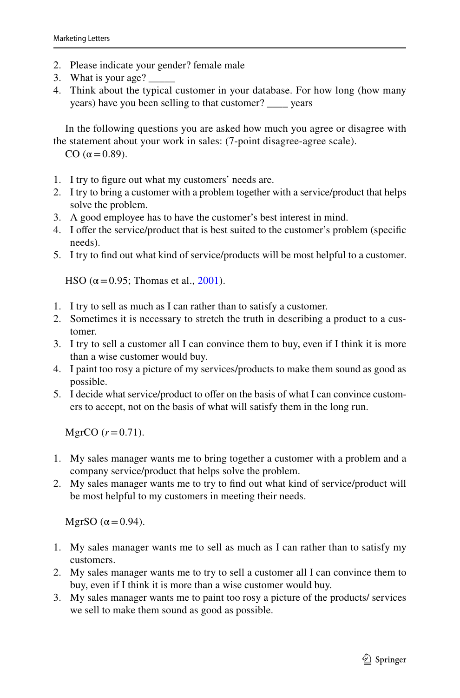- 2. Please indicate your gender? female male
- 3. What is your age?
- 4. Think about the typical customer in your database. For how long (how many years) have you been selling to that customer? \_\_\_\_ years

In the following questions you are asked how much you agree or disagree with the statement about your work in sales: (7-point disagree-agree scale).

CO  $(α=0.89)$ .

- 1. I try to fgure out what my customers' needs are.
- 2. I try to bring a customer with a problem together with a service/product that helps solve the problem.
- 3. A good employee has to have the customer's best interest in mind.
- 4. I ofer the service/product that is best suited to the customer's problem (specifc needs).
- 5. I try to fnd out what kind of service/products will be most helpful to a customer.

HSO ( $\alpha$  = 0.95; Thomas et al., [2001\)](#page-16-5).

- 1. I try to sell as much as I can rather than to satisfy a customer.
- 2. Sometimes it is necessary to stretch the truth in describing a product to a customer.
- 3. I try to sell a customer all I can convince them to buy, even if I think it is more than a wise customer would buy.
- 4. I paint too rosy a picture of my services/products to make them sound as good as possible.
- 5. I decide what service/product to offer on the basis of what I can convince customers to accept, not on the basis of what will satisfy them in the long run.

MgrCO  $(r=0.71)$ .

- 1. My sales manager wants me to bring together a customer with a problem and a company service/product that helps solve the problem.
- 2. My sales manager wants me to try to fnd out what kind of service/product will be most helpful to my customers in meeting their needs.

MgrSO ( $\alpha$  = 0.94).

- 1. My sales manager wants me to sell as much as I can rather than to satisfy my customers.
- 2. My sales manager wants me to try to sell a customer all I can convince them to buy, even if I think it is more than a wise customer would buy.
- 3. My sales manager wants me to paint too rosy a picture of the products/ services we sell to make them sound as good as possible.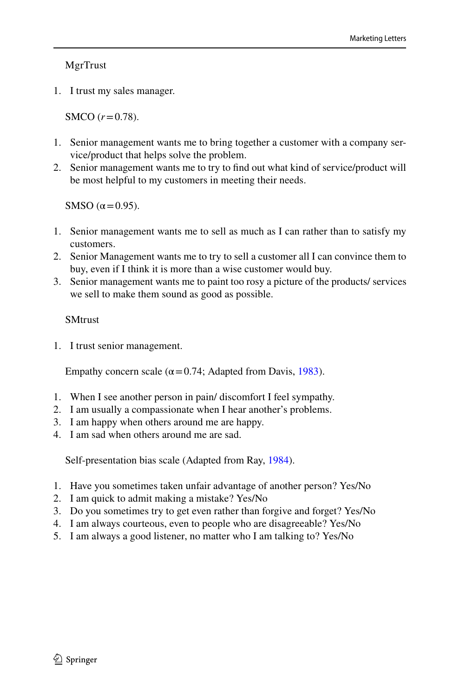MgrTrust

1. I trust my sales manager.

SMCO (*r*=0.78).

- 1. Senior management wants me to bring together a customer with a company service/product that helps solve the problem.
- 2. Senior management wants me to try to fnd out what kind of service/product will be most helpful to my customers in meeting their needs.

SMSO  $(\alpha=0.95)$ .

- 1. Senior management wants me to sell as much as I can rather than to satisfy my customers.
- 2. Senior Management wants me to try to sell a customer all I can convince them to buy, even if I think it is more than a wise customer would buy.
- 3. Senior management wants me to paint too rosy a picture of the products/ services we sell to make them sound as good as possible.

## **SMtrust**

1. I trust senior management.

Empathy concern scale ( $\alpha$  = 0.74; Adapted from Davis, [1983\)](#page-16-20).

- 1. When I see another person in pain/ discomfort I feel sympathy.
- 2. I am usually a compassionate when I hear another's problems.
- 3. I am happy when others around me are happy.
- 4. I am sad when others around me are sad.

Self-presentation bias scale (Adapted from Ray, [1984](#page-16-11)).

- 1. Have you sometimes taken unfair advantage of another person? Yes/No
- 2. I am quick to admit making a mistake? Yes/No
- 3. Do you sometimes try to get even rather than forgive and forget? Yes/No
- 4. I am always courteous, even to people who are disagreeable? Yes/No
- 5. I am always a good listener, no matter who I am talking to? Yes/No